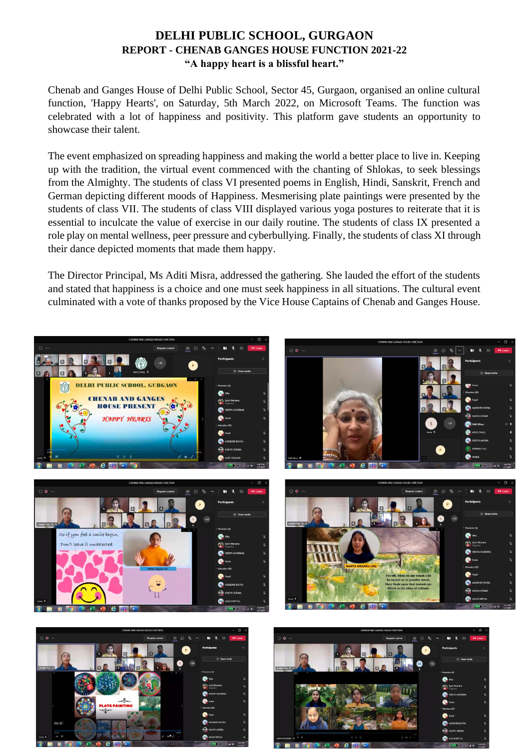## **DELHI PUBLIC SCHOOL, GURGAON REPORT - CHENAB GANGES HOUSE FUNCTION 2021-22 "A happy heart is a blissful heart."**

Chenab and Ganges House of Delhi Public School, Sector 45, Gurgaon, organised an online cultural function, 'Happy Hearts', on Saturday, 5th March 2022, on Microsoft Teams. The function was celebrated with a lot of happiness and positivity. This platform gave students an opportunity to showcase their talent.

The event emphasized on spreading happiness and making the world a better place to live in. Keeping up with the tradition, the virtual event commenced with the chanting of Shlokas, to seek blessings from the Almighty. The students of class VI presented poems in English, Hindi, Sanskrit, French and German depicting different moods of Happiness. Mesmerising plate paintings were presented by the students of class VII. The students of class VIII displayed various yoga postures to reiterate that it is essential to inculcate the value of exercise in our daily routine. The students of class IX presented a role play on mental wellness, peer pressure and cyberbullying. Finally, the students of class XI through their dance depicted moments that made them happy.

The Director Principal, Ms Aditi Misra, addressed the gathering. She lauded the effort of the students and stated that happiness is a choice and one must seek happiness in all situations. The cultural event culminated with a vote of thanks proposed by the Vice House Captains of Chenab and Ganges House.